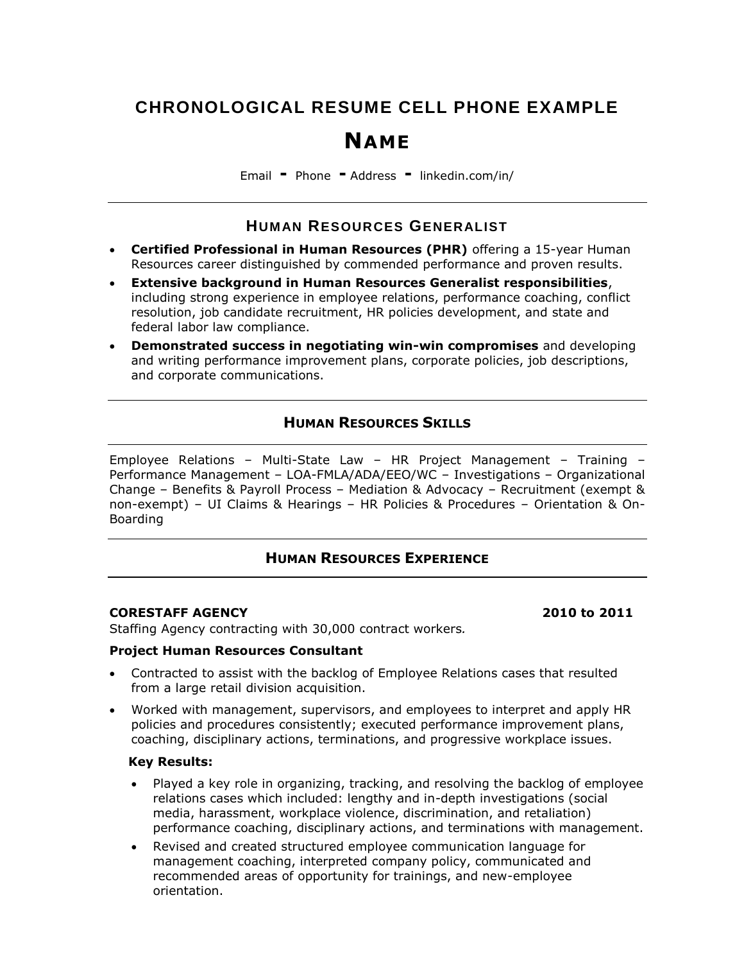# **CHRONOLOGICAL RESUME CELL PHONE EXAMPLE**

# **NAME**

Email **-** Phone **-** Address **-** [linkedin.com/in/](mailto:someone@example.com)

# **HUMAN RESOURCES GENERALIST**

- **Certified Professional in Human Resources (PHR)** offering a 15-year Human Resources career distinguished by commended performance and proven results.
- **Extensive background in Human Resources Generalist responsibilities**, including strong experience in employee relations, performance coaching, conflict resolution, job candidate recruitment, HR policies development, and state and federal labor law compliance.
- **Demonstrated success in negotiating win-win compromises** and developing and writing performance improvement plans, corporate policies, job descriptions, and corporate communications.

# **HUMAN RESOURCES SKILLS**

Employee Relations – Multi-State Law – HR Project Management – Training – Performance Management – LOA-FMLA/ADA/EEO/WC – Investigations – Organizational Change – Benefits & Payroll Process – Mediation & Advocacy – Recruitment (exempt & non-exempt) – UI Claims & Hearings – HR Policies & Procedures – Orientation & On-Boarding

# **HUMAN RESOURCES EXPERIENCE**

### **CORESTAFF AGENCY 2010 to 2011**

Staffing Agency contracting with 30,000 contract workers*.* 

#### **Project Human Resources Consultant**

- Contracted to assist with the backlog of Employee Relations cases that resulted from a large retail division acquisition.
- Worked with management, supervisors, and employees to interpret and apply HR policies and procedures consistently; executed performance improvement plans, coaching, disciplinary actions, terminations, and progressive workplace issues.

### **Key Results:**

- Played a key role in organizing, tracking, and resolving the backlog of employee relations cases which included: lengthy and in-depth investigations (social media, harassment, workplace violence, discrimination, and retaliation) performance coaching, disciplinary actions, and terminations with management.
- Revised and created structured employee communication language for management coaching, interpreted company policy, communicated and recommended areas of opportunity for trainings, and new-employee orientation.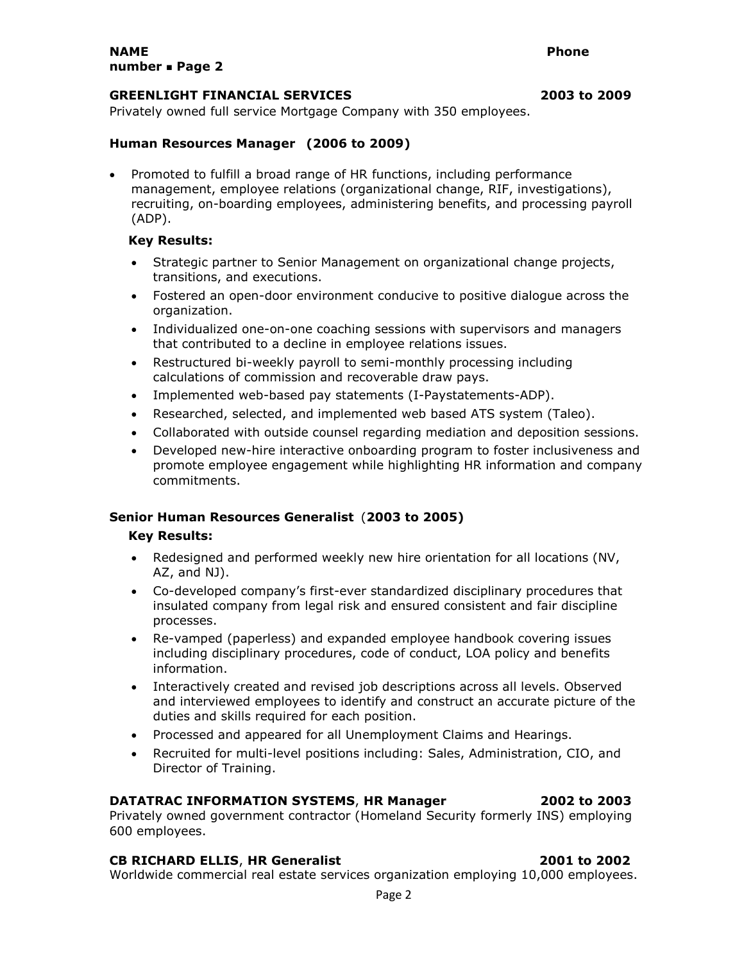#### **GREENLIGHT FINANCIAL SERVICES 2003 to 2009**

Privately owned full service Mortgage Company with 350 employees.

#### **Human Resources Manager (2006 to 2009)**

• Promoted to fulfill a broad range of HR functions, including performance management, employee relations (organizational change, RIF, investigations), recruiting, on-boarding employees, administering benefits, and processing payroll (ADP).

## **Key Results:**

- Strategic partner to Senior Management on organizational change projects, transitions, and executions.
- Fostered an open-door environment conducive to positive dialogue across the organization.
- Individualized one-on-one coaching sessions with supervisors and managers that contributed to a decline in employee relations issues.
- Restructured bi-weekly payroll to semi-monthly processing including calculations of commission and recoverable draw pays.
- Implemented web-based pay statements (I-Paystatements-ADP).
- Researched, selected, and implemented web based ATS system (Taleo).
- Collaborated with outside counsel regarding mediation and deposition sessions.
- Developed new-hire interactive onboarding program to foster inclusiveness and promote employee engagement while highlighting HR information and company commitments.

### **Senior Human Resources Generalist** (**2003 to 2005)**

#### **Key Results:**

- Redesigned and performed weekly new hire orientation for all locations (NV, AZ, and NJ).
- Co-developed company's first-ever standardized disciplinary procedures that insulated company from legal risk and ensured consistent and fair discipline processes.
- Re-vamped (paperless) and expanded employee handbook covering issues including disciplinary procedures, code of conduct, LOA policy and benefits information.
- Interactively created and revised job descriptions across all levels. Observed and interviewed employees to identify and construct an accurate picture of the duties and skills required for each position.
- Processed and appeared for all Unemployment Claims and Hearings.
- Recruited for multi-level positions including: Sales, Administration, CIO, and Director of Training.

#### **DATATRAC INFORMATION SYSTEMS**, **HR Manager 2002 to 2003**

Privately owned government contractor (Homeland Security formerly INS) employing 600 employees.

#### **CB RICHARD ELLIS**, **HR Generalist 2001 to 2002**

Worldwide commercial real estate services organization employing 10,000 employees.